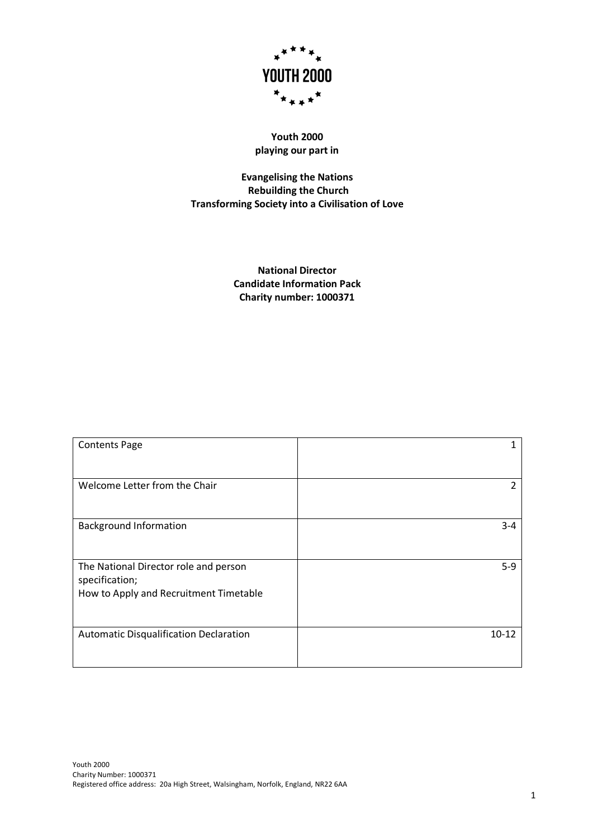

# **Youth 2000 playing our part in**

**Evangelising the Nations Rebuilding the Church Transforming Society into a Civilisation of Love**

> **National Director Candidate Information Pack Charity number: 1000371**

| <b>Contents Page</b>                   |           |
|----------------------------------------|-----------|
|                                        |           |
| Welcome Letter from the Chair          | 2         |
|                                        |           |
| <b>Background Information</b>          | $3 - 4$   |
|                                        |           |
| The National Director role and person  | $5-9$     |
| specification;                         |           |
| How to Apply and Recruitment Timetable |           |
|                                        |           |
| Automatic Disqualification Declaration | $10 - 12$ |
|                                        |           |
|                                        |           |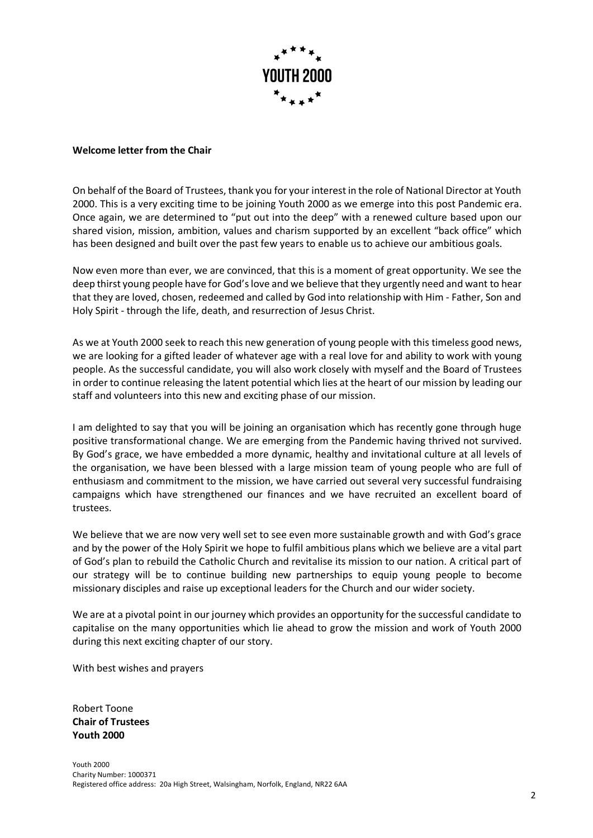

# **Welcome letter from the Chair**

On behalf of the Board of Trustees, thank you for your interest in the role of National Director at Youth 2000. This is a very exciting time to be joining Youth 2000 as we emerge into this post Pandemic era. Once again, we are determined to "put out into the deep" with a renewed culture based upon our shared vision, mission, ambition, values and charism supported by an excellent "back office" which has been designed and built over the past few years to enable us to achieve our ambitious goals.

Now even more than ever, we are convinced, that this is a moment of great opportunity. We see the deep thirst young people have for God's love and we believe that they urgently need and want to hear that they are loved, chosen, redeemed and called by God into relationship with Him - Father, Son and Holy Spirit - through the life, death, and resurrection of Jesus Christ.

As we at Youth 2000 seek to reach this new generation of young people with this timeless good news, we are looking for a gifted leader of whatever age with a real love for and ability to work with young people. As the successful candidate, you will also work closely with myself and the Board of Trustees in order to continue releasing the latent potential which lies at the heart of our mission by leading our staff and volunteers into this new and exciting phase of our mission.

I am delighted to say that you will be joining an organisation which has recently gone through huge positive transformational change. We are emerging from the Pandemic having thrived not survived. By God's grace, we have embedded a more dynamic, healthy and invitational culture at all levels of the organisation, we have been blessed with a large mission team of young people who are full of enthusiasm and commitment to the mission, we have carried out several very successful fundraising campaigns which have strengthened our finances and we have recruited an excellent board of trustees.

We believe that we are now very well set to see even more sustainable growth and with God's grace and by the power of the Holy Spirit we hope to fulfil ambitious plans which we believe are a vital part of God's plan to rebuild the Catholic Church and revitalise its mission to our nation. A critical part of our strategy will be to continue building new partnerships to equip young people to become missionary disciples and raise up exceptional leaders for the Church and our wider society.

We are at a pivotal point in our journey which provides an opportunity for the successful candidate to capitalise on the many opportunities which lie ahead to grow the mission and work of Youth 2000 during this next exciting chapter of our story.

With best wishes and prayers

Robert Toone **Chair of Trustees Youth 2000**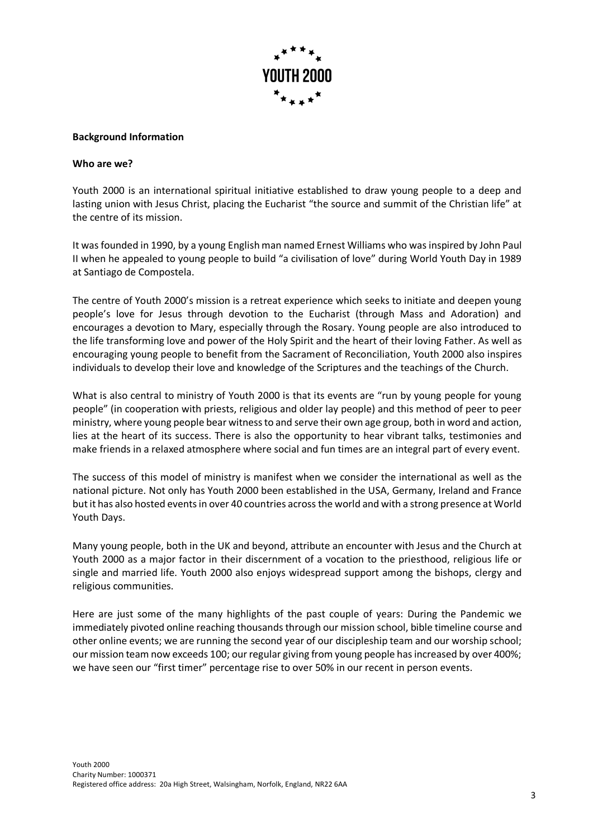

#### **Background Information**

#### **Who are we?**

Youth 2000 is an international spiritual initiative established to draw young people to a deep and lasting union with Jesus Christ, placing the Eucharist "the source and summit of the Christian life" at the centre of its mission.

It was founded in 1990, by a young English man named Ernest Williams who was inspired by John Paul II when he appealed to young people to build "a civilisation of love" during World Youth Day in 1989 at Santiago de Compostela.

The centre of Youth 2000's mission is a retreat experience which seeks to initiate and deepen young people's love for Jesus through devotion to the Eucharist (through Mass and Adoration) and encourages a devotion to Mary, especially through the Rosary. Young people are also introduced to the life transforming love and power of the Holy Spirit and the heart of their loving Father. As well as encouraging young people to benefit from the Sacrament of Reconciliation, Youth 2000 also inspires individuals to develop their love and knowledge of the Scriptures and the teachings of the Church.

What is also central to ministry of Youth 2000 is that its events are "run by young people for young people" (in cooperation with priests, religious and older lay people) and this method of peer to peer ministry, where young people bear witness to and serve their own age group, both in word and action, lies at the heart of its success. There is also the opportunity to hear vibrant talks, testimonies and make friends in a relaxed atmosphere where social and fun times are an integral part of every event.

The success of this model of ministry is manifest when we consider the international as well as the national picture. Not only has Youth 2000 been established in the USA, Germany, Ireland and France but it has also hosted events in over 40 countries across the world and with a strong presence at World Youth Days.

Many young people, both in the UK and beyond, attribute an encounter with Jesus and the Church at Youth 2000 as a major factor in their discernment of a vocation to the priesthood, religious life or single and married life. Youth 2000 also enjoys widespread support among the bishops, clergy and religious communities.

Here are just some of the many highlights of the past couple of years: During the Pandemic we immediately pivoted online reaching thousands through our mission school, bible timeline course and other online events; we are running the second year of our discipleship team and our worship school; our mission team now exceeds 100; our regular giving from young people has increased by over 400%; we have seen our "first timer" percentage rise to over 50% in our recent in person events.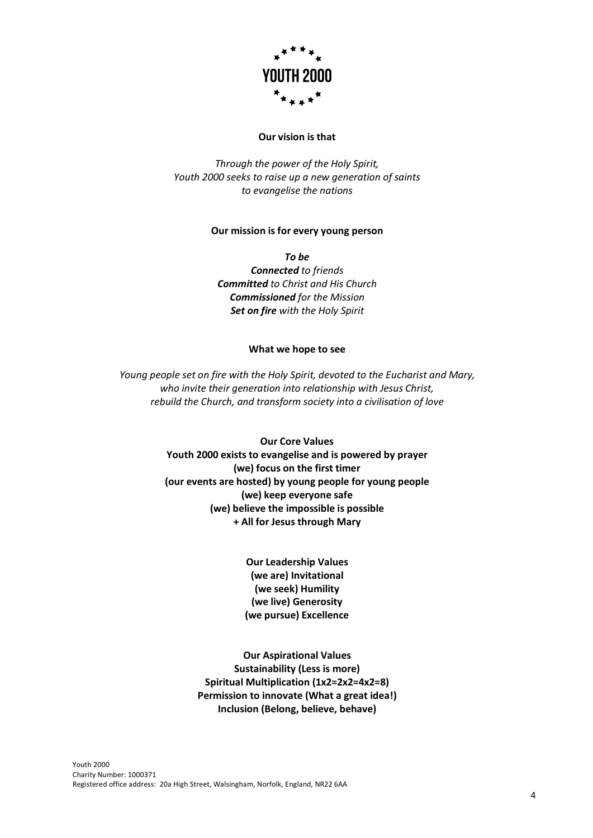

# **Our vision is that**

*Through the power of the Holy Spirit, Youth 2000 seeks to raise up a new generation of saints to evangelise the nations*

#### **Our mission is for every young person**

*To be Connected to friends Committed to Christ and His Church Commissioned for the Mission Set on fire with the Holy Spirit*

#### **What we hope to see**

*Young people set on fire with the Holy Spirit, devoted to the Eucharist and Mary, who invite their generation into relationship with Jesus Christ, rebuild the Church, and transform society into a civilisation of love*

> **Our Core Values Youth 2000 exists to evangelise and is powered by prayer (we) focus on the first timer (our events are hosted) by young people for young people (we) keep everyone safe (we) believe the impossible is possible + All for Jesus through Mary**

> > **Our Leadership Values (we are) Invitational (we seek) Humility (we live) Generosity (we pursue) Excellence**

**Our Aspirational Values Sustainability (Less is more) Spiritual Multiplication (1x2=2x2=4x2=8) Permission to innovate (What a great idea!) Inclusion (Belong, believe, behave)**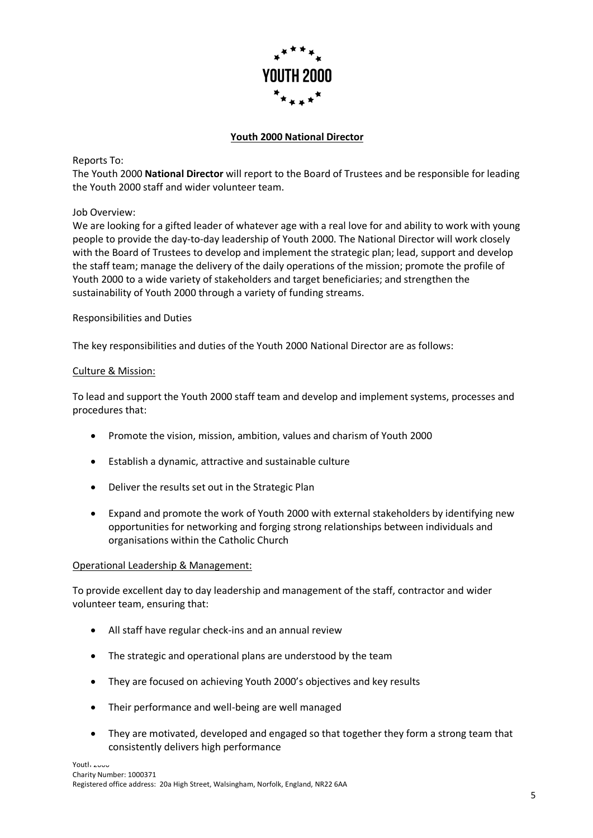

# **Youth 2000 National Director**

Reports To:

The Youth 2000 **National Director** will report to the Board of Trustees and be responsible for leading the Youth 2000 staff and wider volunteer team.

Job Overview:

We are looking for a gifted leader of whatever age with a real love for and ability to work with young people to provide the day-to-day leadership of Youth 2000. The National Director will work closely with the Board of Trustees to develop and implement the strategic plan; lead, support and develop the staff team; manage the delivery of the daily operations of the mission; promote the profile of Youth 2000 to a wide variety of stakeholders and target beneficiaries; and strengthen the sustainability of Youth 2000 through a variety of funding streams.

#### Responsibilities and Duties

The key responsibilities and duties of the Youth 2000 National Director are as follows:

#### Culture & Mission:

To lead and support the Youth 2000 staff team and develop and implement systems, processes and procedures that:

- Promote the vision, mission, ambition, values and charism of Youth 2000
- Establish a dynamic, attractive and sustainable culture
- Deliver the results set out in the Strategic Plan
- Expand and promote the work of Youth 2000 with external stakeholders by identifying new opportunities for networking and forging strong relationships between individuals and organisations within the Catholic Church

# Operational Leadership & Management:

To provide excellent day to day leadership and management of the staff, contractor and wider volunteer team, ensuring that:

- All staff have regular check-ins and an annual review
- The strategic and operational plans are understood by the team
- They are focused on achieving Youth 2000's objectives and key results
- Their performance and well-being are well managed
- They are motivated, developed and engaged so that together they form a strong team that consistently delivers high performance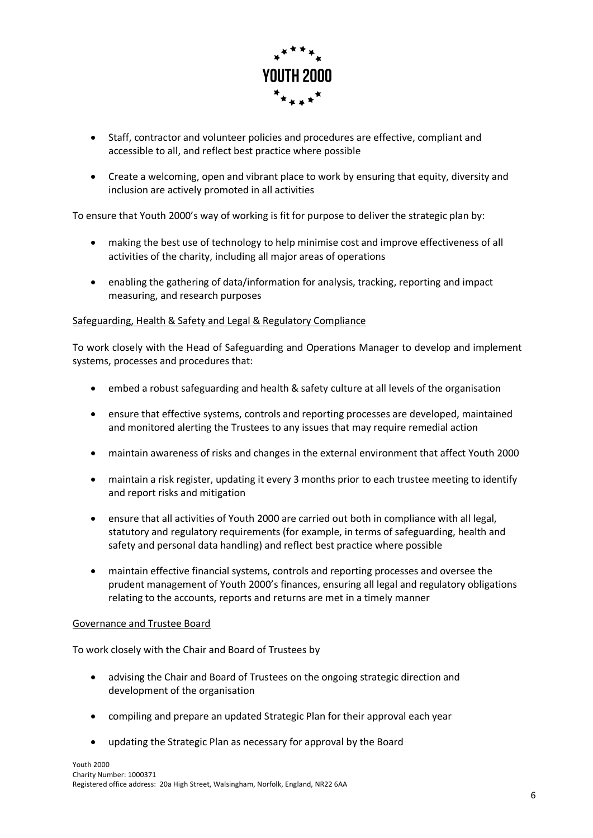

- Staff, contractor and volunteer policies and procedures are effective, compliant and accessible to all, and reflect best practice where possible
- Create a welcoming, open and vibrant place to work by ensuring that equity, diversity and inclusion are actively promoted in all activities

To ensure that Youth 2000's way of working is fit for purpose to deliver the strategic plan by:

- making the best use of technology to help minimise cost and improve effectiveness of all activities of the charity, including all major areas of operations
- enabling the gathering of data/information for analysis, tracking, reporting and impact measuring, and research purposes

# Safeguarding, Health & Safety and Legal & Regulatory Compliance

To work closely with the Head of Safeguarding and Operations Manager to develop and implement systems, processes and procedures that:

- embed a robust safeguarding and health & safety culture at all levels of the organisation
- ensure that effective systems, controls and reporting processes are developed, maintained and monitored alerting the Trustees to any issues that may require remedial action
- maintain awareness of risks and changes in the external environment that affect Youth 2000
- maintain a risk register, updating it every 3 months prior to each trustee meeting to identify and report risks and mitigation
- ensure that all activities of Youth 2000 are carried out both in compliance with all legal, statutory and regulatory requirements (for example, in terms of safeguarding, health and safety and personal data handling) and reflect best practice where possible
- maintain effective financial systems, controls and reporting processes and oversee the prudent management of Youth 2000's finances, ensuring all legal and regulatory obligations relating to the accounts, reports and returns are met in a timely manner

# Governance and Trustee Board

To work closely with the Chair and Board of Trustees by

- advising the Chair and Board of Trustees on the ongoing strategic direction and development of the organisation
- compiling and prepare an updated Strategic Plan for their approval each year
- updating the Strategic Plan as necessary for approval by the Board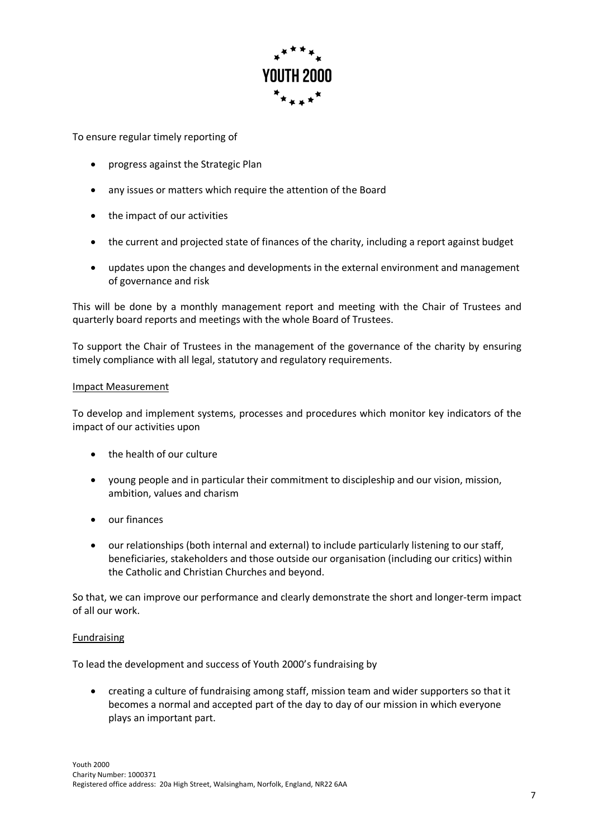

To ensure regular timely reporting of

- progress against the Strategic Plan
- any issues or matters which require the attention of the Board
- the impact of our activities
- the current and projected state of finances of the charity, including a report against budget
- updates upon the changes and developments in the external environment and management of governance and risk

This will be done by a monthly management report and meeting with the Chair of Trustees and quarterly board reports and meetings with the whole Board of Trustees.

To support the Chair of Trustees in the management of the governance of the charity by ensuring timely compliance with all legal, statutory and regulatory requirements.

#### Impact Measurement

To develop and implement systems, processes and procedures which monitor key indicators of the impact of our activities upon

- the health of our culture
- young people and in particular their commitment to discipleship and our vision, mission, ambition, values and charism
- our finances
- our relationships (both internal and external) to include particularly listening to our staff, beneficiaries, stakeholders and those outside our organisation (including our critics) within the Catholic and Christian Churches and beyond.

So that, we can improve our performance and clearly demonstrate the short and longer-term impact of all our work.

# Fundraising

To lead the development and success of Youth 2000's fundraising by

• creating a culture of fundraising among staff, mission team and wider supporters so that it becomes a normal and accepted part of the day to day of our mission in which everyone plays an important part.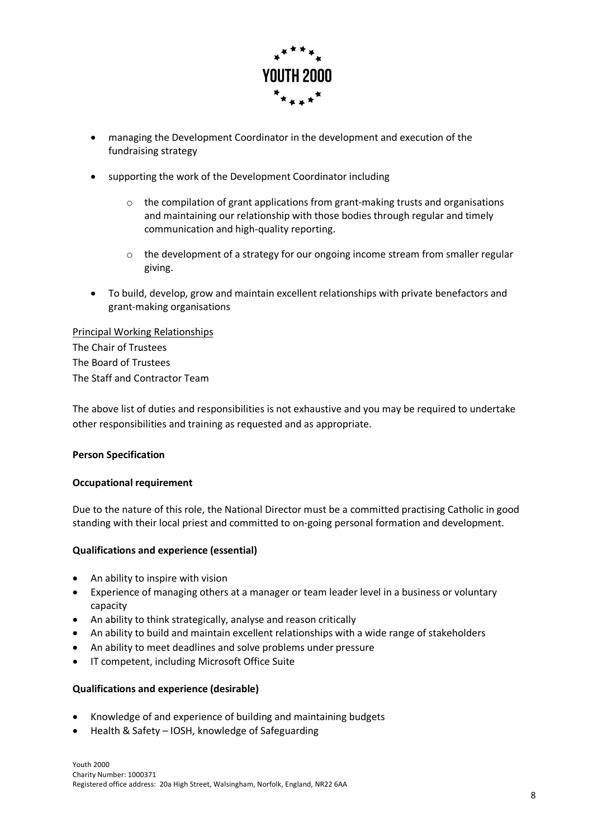

- managing the Development Coordinator in the development and execution of the fundraising strategy
- supporting the work of the Development Coordinator including
	- $\circ$  the compilation of grant applications from grant-making trusts and organisations and maintaining our relationship with those bodies through regular and timely communication and high-quality reporting.
	- $\circ$  the development of a strategy for our ongoing income stream from smaller regular giving.
- To build, develop, grow and maintain excellent relationships with private benefactors and grant-making organisations

Principal Working Relationships The Chair of Trustees The Board of Trustees The Staff and Contractor Team

The above list of duties and responsibilities is not exhaustive and you may be required to undertake other responsibilities and training as requested and as appropriate.

# **Person Specification**

#### **Occupational requirement**

Due to the nature of this role, the National Director must be a committed practising Catholic in good standing with their local priest and committed to on-going personal formation and development.

# **Qualifications and experience (essential)**

- An ability to inspire with vision
- Experience of managing others at a manager or team leader level in a business or voluntary capacity
- An ability to think strategically, analyse and reason critically
- An ability to build and maintain excellent relationships with a wide range of stakeholders
- An ability to meet deadlines and solve problems under pressure
- IT competent, including Microsoft Office Suite

#### **Qualifications and experience (desirable)**

- Knowledge of and experience of building and maintaining budgets
- Health & Safety IOSH, knowledge of Safeguarding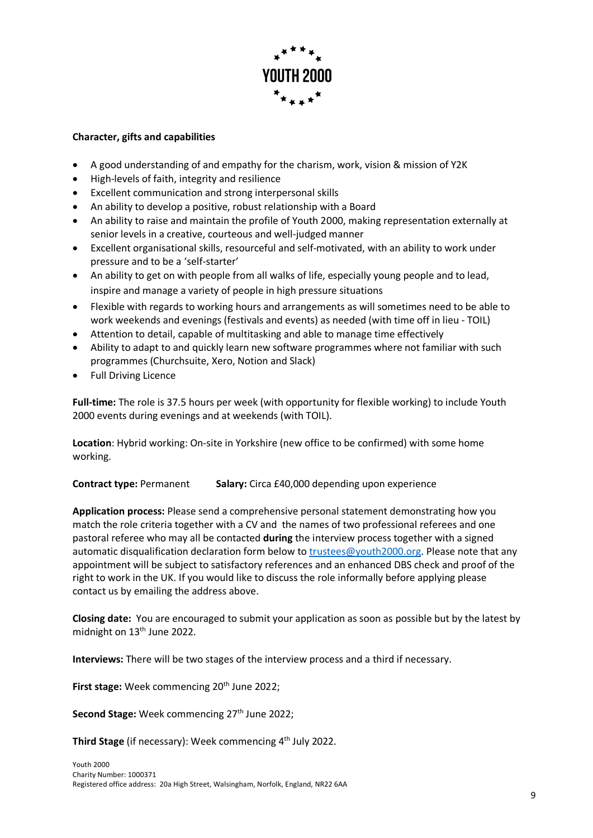

# **Character, gifts and capabilities**

- A good understanding of and empathy for the charism, work, vision & mission of Y2K
- High-levels of faith, integrity and resilience
- Excellent communication and strong interpersonal skills
- An ability to develop a positive, robust relationship with a Board
- An ability to raise and maintain the profile of Youth 2000, making representation externally at senior levels in a creative, courteous and well-judged manner
- Excellent organisational skills, resourceful and self-motivated, with an ability to work under pressure and to be a 'self-starter'
- An ability to get on with people from all walks of life, especially young people and to lead, inspire and manage a variety of people in high pressure situations
- Flexible with regards to working hours and arrangements as will sometimes need to be able to work weekends and evenings (festivals and events) as needed (with time off in lieu - TOIL)
- Attention to detail, capable of multitasking and able to manage time effectively
- Ability to adapt to and quickly learn new software programmes where not familiar with such programmes (Churchsuite, Xero, Notion and Slack)
- Full Driving Licence

**Full-time:** The role is 37.5 hours per week (with opportunity for flexible working) to include Youth 2000 events during evenings and at weekends (with TOIL).

**Location**: Hybrid working: On-site in Yorkshire (new office to be confirmed) with some home working.

**Contract type:** Permanent **Salary:** Circa £40,000 depending upon experience

**Application process:** Please send a comprehensive personal statement demonstrating how you match the role criteria together with a CV and the names of two professional referees and one pastoral referee who may all be contacted **during** the interview process together with a signed automatic disqualification declaration form below to trustees@youth2000.org. Please note that any appointment will be subject to satisfactory references and an enhanced DBS check and proof of the right to work in the UK. If you would like to discuss the role informally before applying please contact us by emailing the address above.

**Closing date:** You are encouraged to submit your application as soon as possible but by the latest by midnight on 13<sup>th</sup> June 2022.

**Interviews:** There will be two stages of the interview process and a third if necessary.

First stage: Week commencing 20<sup>th</sup> June 2022;

**Second Stage:** Week commencing 27<sup>th</sup> June 2022;

Third Stage (if necessary): Week commencing 4<sup>th</sup> July 2022.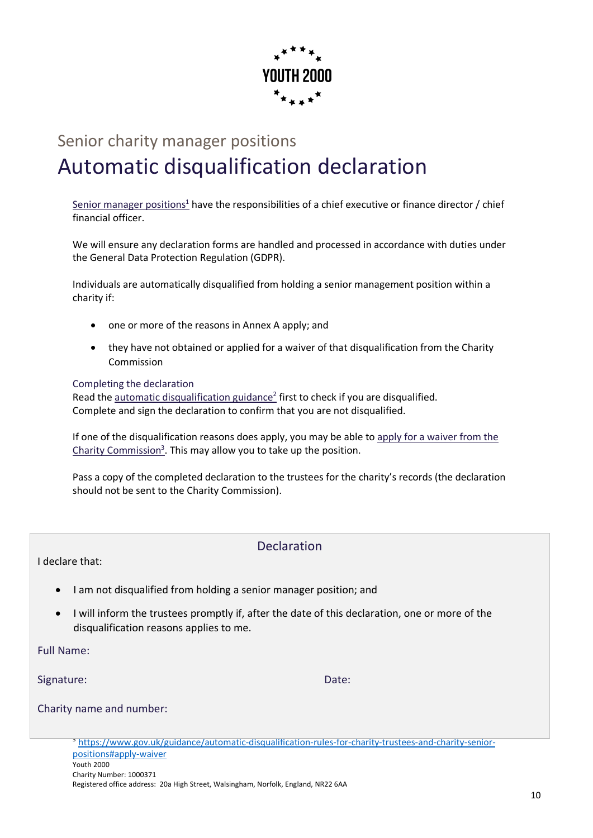

# Senior charity manager positions Automatic disqualification declaration

Senior manager positions<sup>1</sup> have the responsibilities of a chief executive or finance director / chief financial officer.

We will ensure any declaration forms are handled and processed in accordance with duties under the General Data Protection Regulation (GDPR).

Individuals are automatically disqualified from holding a senior management position within a charity if:

- one or more of the reasons in Annex A apply; and
- they have not obtained or applied for a waiver of that disqualification from the Charity Commission

Completing the declaration Read the automatic disqualification guidance<sup>2</sup> first to check if you are disqualified. Complete and sign the declaration to confirm that you are not disqualified.

If one of the disqualification reasons does apply, you may be able to apply for a waiver from the Charity Commission<sup>3</sup>. This may allow you to take up the position.

Pass a copy of the completed declaration to the trustees for the charity's records (the declaration should not be sent to the Charity Commission).

I declare that:

# Declaration

- I am not disqualified from holding a senior manager position; and
- I will inform the trustees promptly if, after the date of this declaration, one or more of the disqualification reasons applies to me.

Full Name:

Signature: Date: Date: Date: Date: Date: Date: Date: Date: Date: Date: Date: Date: Date: Date: Date: Date: Date: Date: Date: Date: Date: Date: Date: Date: Date: Date: Date: Date: Date: Date: Date: Date: Date: Date: Date: D

 $1$ https://www.gov.uk/guidance/automatic-dispute-dispute-dispute-dispute-dispute-dispute-dispute-dispute-dispute-

positions detailed and number: what-a-senior-manager-position-is  $C_1$  is  $C_2$  is  $C_3$  is  $C_4$  is  $C_5$  is  $C_6$  is  $C_7$  is  $C_7$  is  $C_8$  is  $C_7$  is  $C_8$  is  $C_7$  is  $C_8$  is  $C_7$  is  $C_8$  is  $C_9$  is  $C_9$  is  $C_9$ <sup>2</sup> https://www.gov.uk/guidance/automatic-disqualification-rules-for-charity-trustees-and-charity-senior-

Youth 2000 Charity Number: 1000371 Registered office address: 20a High Street, Walsingham, Norfolk, England, NR22 6AA <sup>3</sup> https://www.gov.uk/guidance/automatic-disqualification-rules-for-charity-trustees-and-charity-seniorpositions#apply-waiver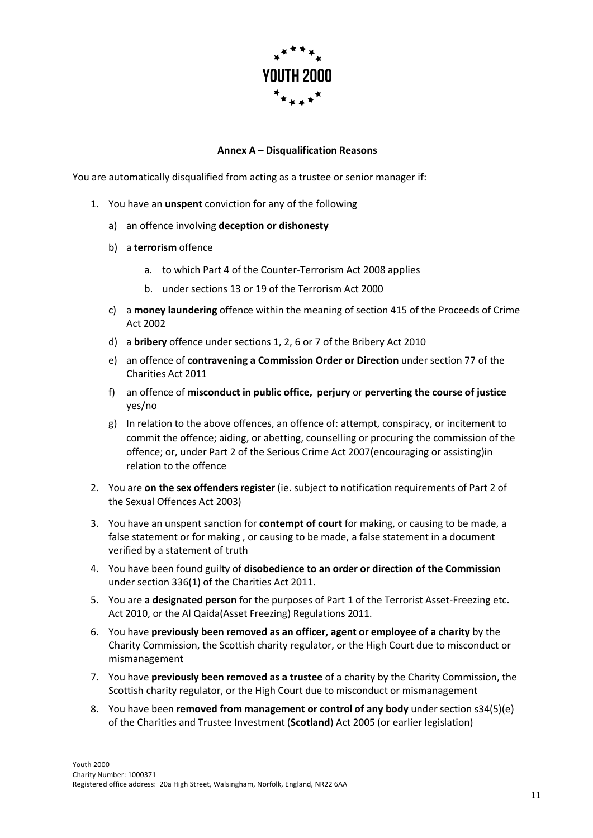

# **Annex A – Disqualification Reasons**

You are automatically disqualified from acting as a trustee or senior manager if:

- 1. You have an **unspent** conviction for any of the following
	- a) an offence involving **deception or dishonesty**
	- b) a **terrorism** offence
		- a. to which Part 4 of the Counter-Terrorism Act 2008 applies
		- b. under sections 13 or 19 of the Terrorism Act 2000
	- c) a **money laundering** offence within the meaning of section 415 of the Proceeds of Crime Act 2002
	- d) a **bribery** offence under sections 1, 2, 6 or 7 of the Bribery Act 2010
	- e) an offence of **contravening a Commission Order or Direction** under section 77 of the Charities Act 2011
	- f) an offence of **misconduct in public office, perjury** or **perverting the course of justice** yes/no
	- g) In relation to the above offences, an offence of: attempt, conspiracy, or incitement to commit the offence; aiding, or abetting, counselling or procuring the commission of the offence; or, under Part 2 of the Serious Crime Act 2007(encouraging or assisting)in relation to the offence
- 2. You are **on the sex offenders register** (ie. subject to notification requirements of Part 2 of the Sexual Offences Act 2003)
- 3. You have an unspent sanction for **contempt of court** for making, or causing to be made, a false statement or for making , or causing to be made, a false statement in a document verified by a statement of truth
- 4. You have been found guilty of **disobedience to an order or direction of the Commission** under section 336(1) of the Charities Act 2011.
- 5. You are **a designated person** for the purposes of Part 1 of the Terrorist Asset-Freezing etc. Act 2010, or the Al Qaida(Asset Freezing) Regulations 2011.
- 6. You have **previously been removed as an officer, agent or employee of a charity** by the Charity Commission, the Scottish charity regulator, or the High Court due to misconduct or mismanagement
- 7. You have **previously been removed as a trustee** of a charity by the Charity Commission, the Scottish charity regulator, or the High Court due to misconduct or mismanagement
- 8. You have been **removed from management or control of any body** under section s34(5)(e) of the Charities and Trustee Investment (**Scotland**) Act 2005 (or earlier legislation)